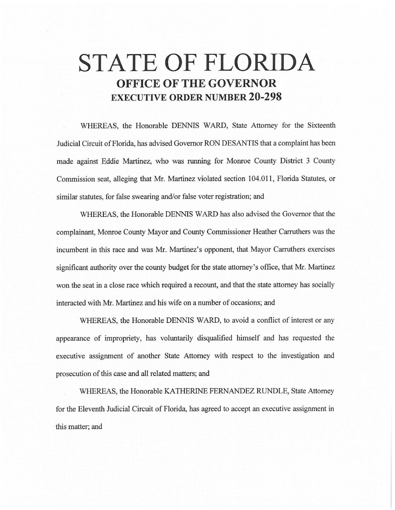## **STATE OF FLORIDA OFFICE OF THE GOVERNOR EXECUTIVE ORDER NUMBER 20-298**

WHEREAS, the Honorable DENNIS WARD, State Attorney for the Sixteenth Judicial Circuit of Florida, has advised Governor RON DESANTIS that a complaint has been made against Eddie Martinez, who was running for Monroe County District 3 County Commission seat, alleging that Mr. Martinez violated section 104.011, Florida Statutes, or similar statutes, for false swearing and/or false voter registration; and

WHEREAS, the Honorable DENNIS WARD has also advised the Governor that the complainant, Monroe County Mayor and County Commissioner Heather Carruthers was the incumbent in this race and was Mr. Martinez's opponent, that Mayor Carruthers exercises significant authority over the county budget for the state attorney's office, that Mr. Martinez won the seat in a close race which required a recount, and that the state attorney has socially interacted with Mr. Martinez and his wife on a number of occasions; and

WHEREAS, the Honorable DENNIS WARD, to avoid a conflict of interest or any appearance of impropriety, has voluntarily disqualified himself and has requested the executive assignment of another State Attorney with respect to the investigation and prosecution of this case and all related matters; and

WHEREAS, the Honorable KA THERINE FERNANDEZ RUNDLE, State Attorney for the Eleventh Judicial Circuit of Florida, has agreed to accept an executive assignment in this matter; and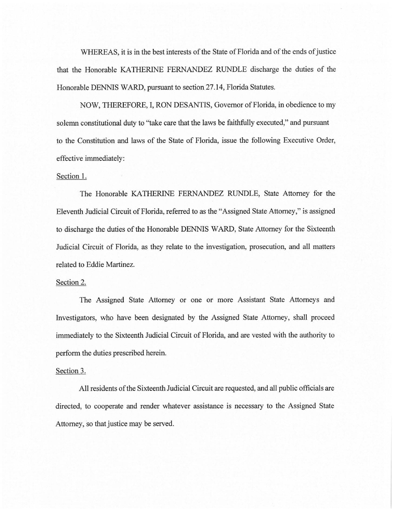WHEREAS, it is in the best interests of the State of Florida and of the ends of justice that the Honorable KA THERINE FERNANDEZ RUNDLE discharge the duties of the Honorable DENNIS WARD, pursuant to section 27 .14, Florida Statutes.

NOW, THEREFORE, I, RON DESANTIS, Governor of Florida, in obedience to my solemn constitutional duty to ''take care that the laws be faithfully executed," and pursuant to the Constitution and laws of the State of Florida, issue the following Executive Order, effective immediately:

## Section 1.

The Honorable KATHERINE FERNANDEZ RUNDLE, State Attorney for the Eleventh Judicial Circuit of Florida, referred to as the "Assigned State Attorney," is assigned to discharge the duties of the Honorable DENNIS WARD, State Attorney for the Sixteenth Judicial Circuit of Florida, as they relate to the investigation, prosecution, and all matters related to Eddie Martinez.

## Section 2.

The Assigned State Attorney or one or more Assistant State Attorneys and Investigators, who have been designated by the Assigned State Attorney, shall proceed immediately to the Sixteenth Judicial Circuit of Florida, and are vested with the authority to perform the duties prescribed herein.

## Section 3.

All residents of the Sixteenth Judicial Circuit are requested, and all public officials are directed, to cooperate and render whatever assistance is necessary to the Assigned State Attorney, so that justice may be served.